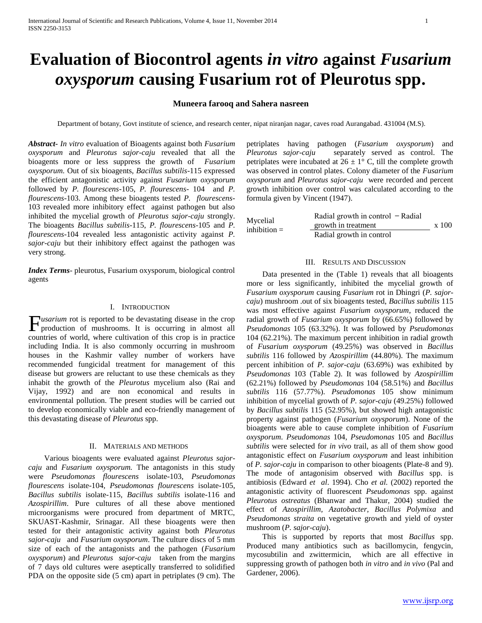# **Evaluation of Biocontrol agents** *in vitro* **against** *Fusarium oxysporum* **causing Fusarium rot of Pleurotus spp.**

## **Muneera farooq and Sahera nasreen**

Department of botany, Govt institute of science, and research center, nipat niranjan nagar, caves road Aurangabad. 431004 (M.S).

*Abstract***-** *In vitro* evaluation of Bioagents against both *Fusarium oxysporum* and *Pleurotus sajor-caju* revealed that all the bioagents more or less suppress the growth of *Fusarium oxysporum.* Out of six bioagents, *Bacillus subtilis*-115 expressed the efficient antagonistic activity against *Fusarium oxysporum* followed by *P. flourescens*-105, *P. flourescens*- 104 and *P. flourescens*-103. Among these bioagents tested *P. flourescens*-103 revealed more inhibitory effect against pathogen but also inhibited the mycelial growth of *Pleurotus sajor-caju* strongly. The bioagents *Bacillus subtilis*-115, *P. flourescens*-105 and *P. flourescens*-104 revealed less antagonistic activity against *P. sajor-caju* but their inhibitory effect against the pathogen was very strong.

*Index Terms*- pleurotus, Fusarium oxysporum, biological control agents

#### I. INTRODUCTION

*usarium* rot is reported to be devastating disease in the crop  $\Gamma$ *usarium* rot is reported to be devastating disease in the crop production of mushrooms. It is occurring in almost all countries of world, where cultivation of this crop is in practice including India. It is also commonly occurring in mushroom houses in the Kashmir valley number of workers have recommended fungicidal treatment for management of this disease but growers are reluctant to use these chemicals as they inhabit the growth of the *Pleurotus* mycelium also (Rai and Vijay, 1992) and are non economical and results in environmental pollution. The present studies will be carried out to develop economically viable and eco-friendly management of this devastating disease of *Pleurotus* spp.

### II. MATERIALS AND METHODS

 Various bioagents were evaluated against *Pleurotus sajorcaju* and *Fusarium oxysporum.* The antagonists in this study were *Pseudomonas flourescens* isolate-103, *Pseudomonas flourescens* isolate-104, *Pseudomonas flourescens* isolate-105, *Bacillus subtilis* isolate-115, *Bacillus subtilis* isolate-116 and *Azospirillim*. Pure cultures of all these above mentioned microorganisms were procured from department of MRTC, SKUAST-Kashmir, Srinagar. All these bioagents were then tested for their antagonistic activity against both *Pleurotus sajor-caju* and *Fusarium oxysporum*. The culture discs of 5 mm size of each of the antagonists and the pathogen (*Fusarium oxysporum*) and *Pleurotus sajor-caju* taken from the margins of 7 days old cultures were aseptically transferred to solidified PDA on the opposite side (5 cm) apart in petriplates (9 cm). The

petriplates having pathogen (*Fusarium oxysporum*) and *Pleurotus sajor-caju* separately served as control. The petriplates were incubated at  $26 \pm 1^{\circ}$  C, till the complete growth was observed in control plates. Colony diameter of the *Fusarium oxysporum* and *Pleurotus sajor-caju* were recorded and percent growth inhibition over control was calculated according to the formula given by Vincent (1947).

| Mycelial<br>inhibition $=$ | Radial growth in control $-$ Radial |       |  |
|----------------------------|-------------------------------------|-------|--|
|                            | growth in treatment                 | x 100 |  |
|                            | Radial growth in control            |       |  |

#### III. RESULTS AND DISCUSSION

 Data presented in the (Table 1) reveals that all bioagents more or less significantly, inhibited the mycelial growth of *Fusarium oxysporum* causing *Fusarium* rot in Dhingri (*P. sajorcaju*) mushroom .out of six bioagents tested, *Bacillus subtilis* 115 was most effective against *Fusarium oxysporum*, reduced the radial growth of *Fusarium oxysporum* by (66.65%) followed by *Pseudomonas* 105 (63.32%). It was followed by *Pseudomonas*  104 (62.21%). The maximum percent inhibition in radial growth of *Fusarium oxysporum* (49.25%) was observed in *Bacillus subtilis* 116 followed by *Azospirillim* (44.80%). The maximum percent inhibition of *P. sajor-caju* (63.69%) was exhibited by *Pseudomonas* 103 (Table 2). It was followed by *Azospirillim* (62.21%) followed by *Pseudomonas* 104 (58.51%) and *Bacillus subtilis* 116 (57.77%). *Pseudomonas* 105 show minimum inhibition of mycelial growth of *P. sajor-caju* (49.25%) followed by *Bacillus subtilis* 115 (52.95%), but showed high antagonistic property against pathogen (*Fusarium oxysporum*). None of the bioagents were able to cause complete inhibition of *Fusarium oxysporum*. *Pseudomonas* 104, *Pseudomonas* 105 and *Bacillus subtilis* were selected for *in vivo* trail, as all of them show good antagonistic effect on *Fusarium oxysporum* and least inhibition of *P. sajor-caju* in comparison to other bioagents (Plate-8 and 9). The mode of antagonisim observed with *Bacillus* spp. is antibiosis (Edward *et al*. 1994). Cho *et al.* (2002) reported the antagonistic activity of fluorescent *Pseudomonas* spp. against *Pleurotus ostreatus* (Bhanwar and Thakur, 2004) studied the effect of *Azospirillim, Azatobacter, Bacillus Polymixa* and *Pseudomonas straita* on vegetative growth and yield of oyster mushroom (*P. sajor-caju*).

 This is supported by reports that most *Bacillus* spp. Produced many antibiotics such as bacillomycin, fengycin, mycosubtilin and zwittermicin, which are all effective in suppressing growth of pathogen both *in vitro* and *in vivo* (Pal and Gardener, 2006).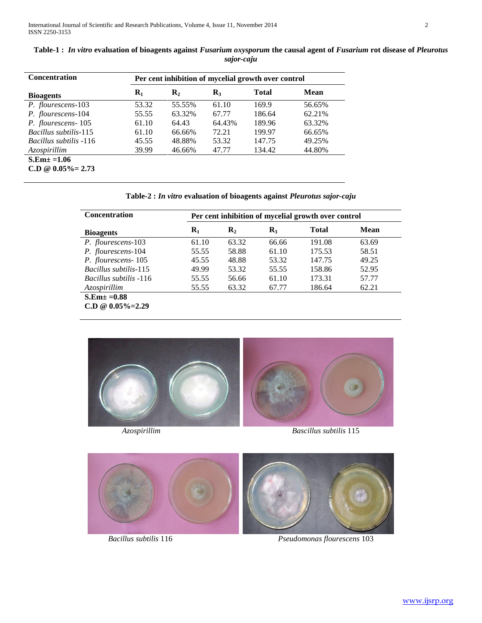| <b>Concentration</b>          | Per cent inhibition of mycelial growth over control |                |                |        |        |  |
|-------------------------------|-----------------------------------------------------|----------------|----------------|--------|--------|--|
| <b>Bioagents</b>              | $\mathbf{R}_1$                                      | $\mathbf{R}_2$ | $\mathbf{R}_3$ | Total  | Mean   |  |
| P. flourescens-103            | 53.32                                               | 55.55%         | 61.10          | 169.9  | 56.65% |  |
| P. flourescens-104            | 55.55                                               | 63.32%         | 67.77          | 186.64 | 62.21% |  |
| P. flourescens-105            | 61.10                                               | 64.43          | 64.43%         | 189.96 | 63.32% |  |
| <i>Bacillus subtilis</i> -115 | 61.10                                               | 66.66%         | 72.21          | 199.97 | 66.65% |  |
| <i>Bacillus subtilis</i> -116 | 45.55                                               | 48.88%         | 53.32          | 147.75 | 49.25% |  |
| Azospirillim                  | 39.99                                               | 46.66%         | 47.77          | 134.42 | 44.80% |  |
| $S.Em\pm =1.06$               |                                                     |                |                |        |        |  |
| $C.D @ 0.05\% = 2.73$         |                                                     |                |                |        |        |  |

## **Table-1 :** *In vitro* **evaluation of bioagents against** *Fusarium oxysporum* **the causal agent of** *Fusarium* **rot disease of** *Pleurotus sajor-caju*

**Table-2 :** *In vitro* **evaluation of bioagents against** *Pleurotus sajor-caju*

| <b>Concentration</b>          | Per cent inhibition of mycelial growth over control |                |                  |              |             |  |  |
|-------------------------------|-----------------------------------------------------|----------------|------------------|--------------|-------------|--|--|
| <b>Bioagents</b>              | $\mathbf{R}_1$                                      | $\mathbf{R}_2$ | $\mathbf{R}_{3}$ | <b>Total</b> | <b>Mean</b> |  |  |
| P. flourescens-103            | 61.10                                               | 63.32          | 66.66            | 191.08       | 63.69       |  |  |
| P. flourescens-104            | 55.55                                               | 58.88          | 61.10            | 175.53       | 58.51       |  |  |
| P. flourescens-105            | 45.55                                               | 48.88          | 53.32            | 147.75       | 49.25       |  |  |
| <i>Bacillus subtilis</i> -115 | 49.99                                               | 53.32          | 55.55            | 158.86       | 52.95       |  |  |
| <i>Bacillus subtilis</i> -116 | 55.55                                               | 56.66          | 61.10            | 173.31       | 57.77       |  |  |
| Azospirillim                  | 55.55                                               | 63.32          | 67.77            | 186.64       | 62.21       |  |  |
| $S.Em\pm =0.88$               |                                                     |                |                  |              |             |  |  |
| $C.D @ 0.05\% = 2.29$         |                                                     |                |                  |              |             |  |  |





*Bacillus subtilis* 116 *Pseudomonas flourescens* 103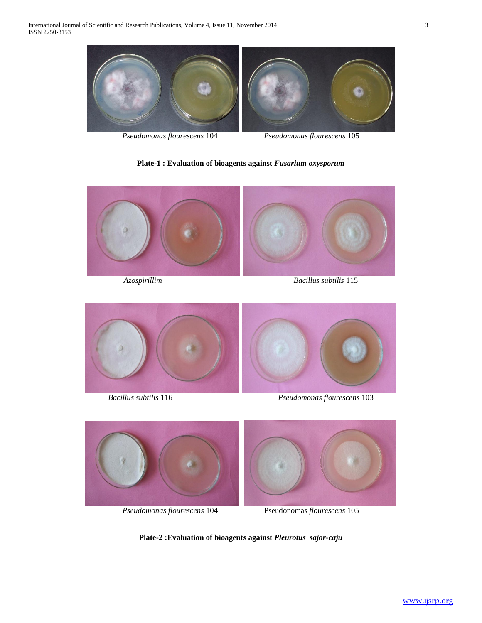

**Plate-1 : Evaluation of bioagents against** *Fusarium oxysporum*



*Azospirillim Bacillus subtilis* 115



*Bacillus subtilis* 116 *Pseudomonas flourescens* 103







*Pseudomonas flourescens* 104 Pseudonomas *flourescens* 105

**Plate-2 :Evaluation of bioagents against** *Pleurotus sajor-caju*